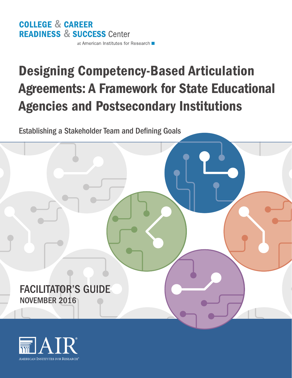## **COLLEGE & CAREER READINESS & SUCCESS Center**

at American Institutes for Research

# Designing Competency-Based Articulation Agreements: A Framework for State Educational Agencies and Postsecondary Institutions

Establishing a Stakeholder Team and Defining Goals

FACILITATOR'S GUIDE NOVEMBER 2016

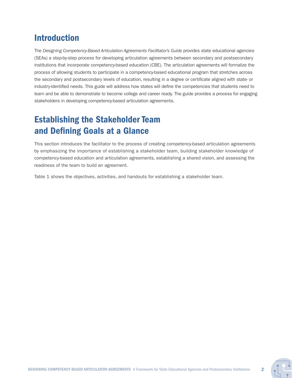### Introduction

The *Designing Competency-Based Articulation Agreements Facilitator's Guide* provides state educational agencies (SEAs) a step-by-step process for developing articulation agreements between secondary and postsecondary institutions that incorporate competency-based education (CBE). The articulation agreements will formalize the process of allowing students to participate in a competency-based educational program that stretches across the secondary and postsecondary levels of education, resulting in a degree or certificate aligned with state- or industry-identified needs. This guide will address how states will define the competencies that students need to learn and be able to demonstrate to become college and career ready. The guide provides a process for engaging stakeholders in developing competency-based articulation agreements.

### Establishing the Stakeholder Team and Defining Goals at a Glance

This section introduces the facilitator to the process of creating competency-based articulation agreements by emphasizing the importance of establishing a stakeholder team, building stakeholder knowledge of competency-based education and articulation agreements, establishing a shared vision, and assessing the readiness of the team to build an agreement.

Table 1 shows the objectives, activities, and handouts for establishing a stakeholder team.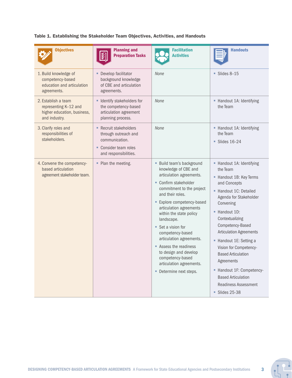Table 1. Establishing the Stakeholder Team Objectives, Activities, and Handouts

| <b>Objectives</b>                                                                            | <b>Planning and</b><br><b>REA</b><br><b>Preparation Tasks</b>                                                      | <b>Facilitation</b><br><b>Activities</b>                                                                                                                                                                                                                                                                                                                                                                                                                  | <b>Handouts</b>                                                                                                                                                                                                                                                                                                                                                                                                                                      |
|----------------------------------------------------------------------------------------------|--------------------------------------------------------------------------------------------------------------------|-----------------------------------------------------------------------------------------------------------------------------------------------------------------------------------------------------------------------------------------------------------------------------------------------------------------------------------------------------------------------------------------------------------------------------------------------------------|------------------------------------------------------------------------------------------------------------------------------------------------------------------------------------------------------------------------------------------------------------------------------------------------------------------------------------------------------------------------------------------------------------------------------------------------------|
| 1. Build knowledge of<br>competency-based<br>education and articulation<br>agreements.       | Develop facilitator<br>۰.<br>background knowledge<br>of CBE and articulation<br>agreements.                        | None                                                                                                                                                                                                                                                                                                                                                                                                                                                      | Slides 8-15<br>٠                                                                                                                                                                                                                                                                                                                                                                                                                                     |
| 2. Establish a team<br>representing K-12 and<br>higher education, business,<br>and industry. | <b>Identify stakeholders for</b><br>the competency-based<br>articulation agreement<br>planning process.            | None                                                                                                                                                                                                                                                                                                                                                                                                                                                      | - Handout 1A: Identifying<br>the Team                                                                                                                                                                                                                                                                                                                                                                                                                |
| 3. Clarify roles and<br>responsibilities of<br>stakeholders.                                 | • Recruit stakeholders<br>through outreach and<br>communication.<br>• Consider team roles<br>and responsibilities. | None                                                                                                                                                                                                                                                                                                                                                                                                                                                      | - Handout 1A: Identifying<br>the Team<br>$\blacksquare$ Slides 16-24                                                                                                                                                                                                                                                                                                                                                                                 |
| 4. Convene the competency-<br>based articulation<br>agreement stakeholder team.              | • Plan the meeting.                                                                                                | • Build team's background<br>knowledge of CBE and<br>articulation agreements.<br>• Confirm stakeholder<br>commitment to the project<br>and their roles.<br>Explore competency-based<br>articulation agreements<br>within the state policy<br>landscape.<br>■ Set a vision for<br>competency-based<br>articulation agreements.<br>Assess the readiness<br>to design and develop<br>competency-based<br>articulation agreements.<br>• Determine next steps. | - Handout 1A: Identifying<br>the Team<br>- Handout 1B: Key Terms<br>and Concepts<br>- Handout 1C: Detailed<br>Agenda for Stakeholder<br>Convening<br>Handout 1D:<br>Contextualizing<br>Competency-Based<br><b>Articulation Agreements</b><br>• Handout 1E: Setting a<br>Vision for Competency-<br><b>Based Articulation</b><br>Agreements<br>- Handout 1F: Competency-<br><b>Based Articulation</b><br><b>Readiness Assessment</b><br>■ Slides 25-38 |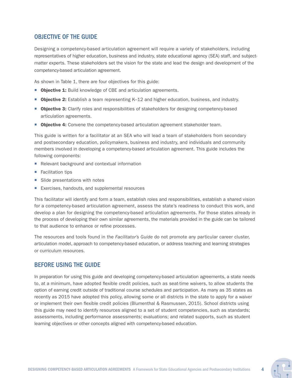#### OBJECTIVE OF THE GUIDE

Designing a competency-based articulation agreement will require a variety of stakeholders, including representatives of higher education, business and industry, state educational agency (SEA) staff, and subjectmatter experts. These stakeholders set the vision for the state and lead the design and development of the competency-based articulation agreement.

As shown in Table 1, there are four objectives for this guide:

- **Objective 1:** Build knowledge of CBE and articulation agreements.
- Objective 2: Establish a team representing K-12 and higher education, business, and industry.
- **Diective 3:** Clarify roles and responsibilities of stakeholders for designing competency-based articulation agreements.
- **Objective 4:** Convene the competency-based articulation agreement stakeholder team.

This guide is written for a facilitator at an SEA who will lead a team of stakeholders from secondary and postsecondary education, policymakers, business and industry, and individuals and community members involved in developing a competency-based articulation agreement. This guide includes the following components:

- Relevant background and contextual information
- Facilitation tips
- Slide presentations with notes
- Exercises, handouts, and supplemental resources

This facilitator will identify and form a team, establish roles and responsibilities, establish a shared vision for a competency-based articulation agreement, assess the state's readiness to conduct this work, and develop a plan for designing the competency-based articulation agreements. For those states already in the process of developing their own similar agreements, the materials provided in the guide can be tailored to that audience to enhance or refine processes.

The resources and tools found in the *Facilitator's Guide* do not promote any particular career cluster, articulation model, approach to competency-based education, or address teaching and learning strategies or curriculum resources.

#### BEFORE USING THE GUIDE

In preparation for using this guide and developing competency-based articulation agreements, a state needs to, at a minimum, have adopted flexible credit policies, such as seat-time waivers, to allow students the option of earning credit outside of traditional course schedules and participation. As many as 35 states as recently as 2015 have adopted this policy, allowing some or all districts in the state to apply for a waiver or implement their own flexible credit policies (Blumenthal & Rasmussen, 2015). School districts using this guide may need to identify resources aligned to a set of student competencies, such as standards; assessments, including performance assessments; evaluations; and related supports, such as student learning objectives or other concepts aligned with competency-based education.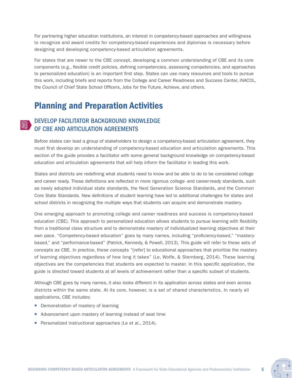For partnering higher education institutions, an interest in competency-based approaches and willingness to recognize and award credits for competency-based experiences and diplomas is necessary before designing and developing competency-based articulation agreements.

For states that are newer to the CBE concept, developing a common understanding of CBE and its core components (e.g., flexible credit policies, defining competencies, assessing competencies, and approaches to personalized education) is an important first step. States can use many resources and tools to pursue this work, including briefs and reports from the College and Career Readiness and Success Center, iNACOL, the Council of Chief State School Officers, Jobs for the Future, Achieve, and others.

### Planning and Preparation Activities

#### DEVELOP FACILITATOR BACKGROUND KNOWLEDGE  $\mathbb{E}$ OF CBE AND ARTICULATION AGREEMENTS

Before states can lead a group of stakeholders to design a competency-based articulation agreement, they must first develop an understanding of competency-based education and articulation agreements. This section of the guide provides a facilitator with some general background knowledge on competency-based education and articulation agreements that will help inform the facilitator in leading this work.

States and districts are redefining what students need to know and be able to do to be considered college and career ready. These definitions are reflected in more rigorous college- and career-ready standards, such as newly adopted individual state standards, the Next Generation Science Standards, and the Common Core State Standards. New definitions of student learning have led to additional challenges for states and school districts in recognizing the multiple ways that students can acquire and demonstrate mastery.

One emerging approach to promoting college and career readiness and success is competency-based education (CBE). This approach to personalized education allows students to pursue learning with flexibility from a traditional class structure and to demonstrate mastery of individualized learning objectives at their own pace. "Competency-based education" goes by many names, including "proficiency-based," "masterybased," and "performance-based" (Patrick, Kennedy, & Powell, 2013). This guide will refer to these sets of concepts as CBE. In practice, these concepts "[refer] to educational approaches that prioritize the mastery of learning objectives regardless of how long it takes" (Le, Wolfe, & Sternberg, 2014). These learning objectives are the competencies that students are expected to master. In this specific application, the guide is directed toward students at all levels of achievement rather than a specific subset of students.

Although CBE goes by many names, it also looks different in its application across states and even across districts within the same state. At its core, however, is a set of shared characteristics. In nearly all applications, CBE includes:

- **Demonstration of mastery of learning**
- Advancement upon mastery of learning instead of seat time
- Personalized instructional approaches (Le et al., 2014).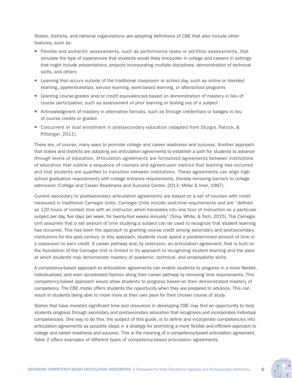States, districts, and national organizations are adopting definitions of CBE that also include other features, such as:

- **Fi** Flexible and authentic assessments, such as performance tasks or portfolio assessments, that simulate the type of experiences that students would likely encounter in college and careers in settings that might include presentations, projects incorporating multiple disciplines, demonstration of technical skills, and others
- **Example 1** Learning that occurs outside of the traditional classroom or school day, such as online or blended learning, apprenticeships, service learning, work-based learning, or afterschool programs
- Granting course grades and/or credit equivalencies based on demonstration of mastery in lieu of course participation, such as assessment of prior learning or testing out of a subject
- Acknowledgment of mastery in alternative formats, such as through credentials or badges in lieu of course credits or grades
- Concurrent or dual enrollment in postsecondary education (adapted from Sturgis, Patrick, & Pittenger, 2011).

There are, of course, many ways to promote college and career readiness and success. Another approach that states and districts are adopting are articulation agreements to establish a path for students to advance through levels of education. Articulation agreements are formalized agreements between institutions of education that outline a sequence of courses and agreed-upon metrics that learning has occurred and that students are qualified to transition between institutions. These agreements can align high school graduation requirements with college entrance requirements, thereby removing barriers to college admission (College and Career Readiness and Success Center, 2013; Miller & Imel, 1987).

Current secondary to postsecondary articulation agreements are based on a set of courses with credit measured in traditional Carnegie Units. Carnegie Units include seat-time requirements and are "defined as 120 hours of contact time with an instructor, which translates into one hour of instruction on a particular subject per day, five days per week, for twenty-four weeks annually" (Silva, White, & Toch, 2015). The Carnegie Unit assumes that a set amount of time studying a subject can be used to recognize that student learning has occurred. This has been the approach to granting course credit among secondary and postsecondary institutions for the past century. In this approach, students must spend a predetermined amount of time in a classroom to earn credit. A career pathway and, by extension, an articulation agreement, that is built on the foundation of the Carnegie Unit is limited in its approach to recognizing student learning and the pace at which students may demonstrate mastery of academic, technical, and employability skills.

A competency-based approach to articulation agreements can enable students to progress in a more flexible, individualized, and even accelerated fashion along their career pathway by removing time requirements. This competency-based approach would allow students to progress based on their demonstrated mastery of competency. The CBE model offers students the opportunity when they are prepared to advance. This can result in students being able to move more at their own pace for their chosen course of study.

States that have invested significant time and resources in developing CBE may find an opportunity to help students progress through secondary and postsecondary education that recognizes and incorporates individual competencies. One way to do this, the subject of this guide, is to define and incorporate competencies into articulation agreements as possible steps in a strategy for promoting a more flexible and efficient approach to college and career readiness and success. This is the meaning of a competency-based articulation agreement. Table 2 offers examples of different types of competency-based articulation agreements.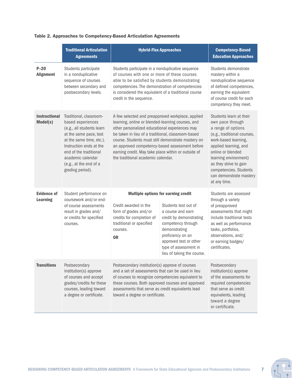#### Table 2. Approaches to Competency-Based Articulation Agreements

|                                       | <b>Traditional Articulation</b><br><b>Agreements</b>                                                                                                                                                                                                    | <b>Hybrid-Flex Approaches</b>                                                                                                                                                                                                                                                                                                                                                                                       | <b>Competency-Based</b><br><b>Education Approaches</b>                                                                                                                                                                                                                                         |                                                                                                                                                                                                                                  |  |  |
|---------------------------------------|---------------------------------------------------------------------------------------------------------------------------------------------------------------------------------------------------------------------------------------------------------|---------------------------------------------------------------------------------------------------------------------------------------------------------------------------------------------------------------------------------------------------------------------------------------------------------------------------------------------------------------------------------------------------------------------|------------------------------------------------------------------------------------------------------------------------------------------------------------------------------------------------------------------------------------------------------------------------------------------------|----------------------------------------------------------------------------------------------------------------------------------------------------------------------------------------------------------------------------------|--|--|
| $P-20$<br><b>Alignment</b>            | Students participate<br>in a nonduplicative<br>sequence of courses<br>between secondary and<br>postsecondary levels.                                                                                                                                    | Students participate in a nonduplicative sequence<br>of courses with one or more of these courses<br>able to be satisfied by students demonstrating<br>competencies. The demonstration of competencies<br>is considered the equivalent of a traditional course<br>credit in the sequence.                                                                                                                           | Students demonstrate<br>mastery within a<br>nonduplicative sequence<br>of defined competences,<br>earning the equivalent<br>of course credit for each<br>competency they meet.                                                                                                                 |                                                                                                                                                                                                                                  |  |  |
| <b>Instructional</b><br>Model(s)      | Traditional, classroom-<br>based experiences<br>(e.g., all students learn<br>at the same pace, test<br>at the same time, etc.).<br>Instruction ends at the<br>end of the traditional<br>academic calendar<br>(e.g., at the end of a<br>grading period). | A few selected and preapproved workplace, applied<br>learning, online or blended-learning courses, and<br>other personalized educational experiences may<br>be taken in lieu of a traditional, classroom-based<br>course. Students must still demonstrate mastery on<br>an approved competency-based assessment before<br>earning credit. May take place within or outside of<br>the traditional academic calendar. | Students learn at their<br>own pace through<br>a range of options<br>(e.g., traditional courses,<br>work-based learning,<br>applied learning, and<br>online or blended<br>learning environment)<br>as they strive to gain<br>competencies. Students<br>can demonstrate mastery<br>at any time. |                                                                                                                                                                                                                                  |  |  |
| <b>Evidence of</b><br><b>Learning</b> | Student performance on<br>coursework and/or end-<br>of-course assessments<br>result in grades and/<br>or credits for specified<br>courses.                                                                                                              | <b>Multiple options for earning credit</b><br>Credit awarded in the<br>Students test out of<br>form of grades and/or<br>a course and earn<br>credits for completion of<br>credit by demonstrating<br>traditional or specified<br>competency through<br>demonstrating<br>courses.<br>proficiency on an<br><b>OR</b><br>approved test or other<br>type of assessment in<br>lieu of taking the course.                 |                                                                                                                                                                                                                                                                                                | Students are assessed<br>through a variety<br>of preapproved<br>assessments that might<br>include traditional tests<br>as well as performance<br>tasks, portfolios,<br>observations, and/<br>or earning badges/<br>certificates. |  |  |
| <b>Transitions</b>                    | Postsecondary<br>institution(s) approve<br>of courses and accept<br>grades/credits for these<br>courses, leading toward<br>a degree or certificate.                                                                                                     | Postsecondary institution(s) approve of courses<br>and a set of assessments that can be used in lieu<br>of courses to recognize competencies equivalent to<br>these courses. Both approved courses and approved<br>assessments that serve as credit equivalents lead<br>toward a degree or certificate.                                                                                                             | Postsecondary<br>institution(s) approve<br>of the assessments for<br>required competencies<br>that serve as credit<br>equivalents, leading<br>toward a degree<br>or certificate.                                                                                                               |                                                                                                                                                                                                                                  |  |  |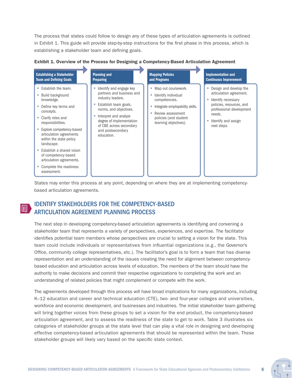The process that states could follow to design any of these types of articulation agreements is outlined in Exhibit 1. This guide will provide step-by-step instructions for the first phase in this process, which is establishing a stakeholder team and defining goals.

| <b>Establishing a Stakeholder</b>                                                                                                                                                                                                                                                                                                                                         | <b>Planning and</b>                                                                                                                                                                                                                                            | <b>Mapping Policies</b>                                                                                                                                                                    | <b>Implementation and</b>                                                                                                                                                               |
|---------------------------------------------------------------------------------------------------------------------------------------------------------------------------------------------------------------------------------------------------------------------------------------------------------------------------------------------------------------------------|----------------------------------------------------------------------------------------------------------------------------------------------------------------------------------------------------------------------------------------------------------------|--------------------------------------------------------------------------------------------------------------------------------------------------------------------------------------------|-----------------------------------------------------------------------------------------------------------------------------------------------------------------------------------------|
| <b>Team and Defining Goals</b>                                                                                                                                                                                                                                                                                                                                            | <b>Preparing</b>                                                                                                                                                                                                                                               | and Programs                                                                                                                                                                               | <b>Continuous Improvement</b>                                                                                                                                                           |
| ■ Establish the team.<br>■ Build background<br>knowledge.<br>• Define key terms and<br>concepts.<br>• Clarify roles and<br>responsibilities.<br>Explore competency-based<br>articulation agreements<br>within the state policy<br>landscape.<br>■ Establish a shared vision<br>of competency-based<br>articulation agreements.<br>• Complete the readiness<br>assessment. | Identify and engage key<br>×<br>partners and business and<br>industry leaders.<br>Establish team goals,<br>×<br>norms, and objectives.<br>Interpret and analyze<br>×<br>degree of implementation<br>of CBE across secondary<br>and postsecondary<br>education. | Map out coursework.<br>m,<br>Identify individual<br>ш<br>competencies.<br>Integrate employability skills.<br>×<br>Review assessment<br>×<br>policies (and student<br>learning objectives). | • Design and develop the<br>articulation agreement.<br>Identify necessary<br>m.<br>policies, resources, and<br>professional development<br>needs.<br>Identify and assign<br>next steps. |

#### Exhibit 1. Overview of the Process for Designing a Competency-Based Articulation Agreement

States may enter this process at any point, depending on where they are at implementing competencybased articulation agreements.

#### IDENTIFY STAKEHOLDERS FOR THE COMPETENCY-BASED  $\mathbb{E}$ ARTICULATION AGREEMENT PLANNING PROCESS

The next step in developing competency-based articulation agreements is identifying and convening a stakeholder team that represents a variety of perspectives, experiences, and expertise. The facilitator identifies potential team members whose perspectives are crucial to setting a vision for the state. This team could include individuals or representatives from influential organizations (e.g., the Governor's Office, community college representatives, etc.). The facilitator's goal is to form a team that has diverse representation and an understanding of the issues creating the need for alignment between competencybased education and articulation across levels of education. The members of the team should have the authority to make decisions and commit their respective organizations to completing the work and an understanding of related policies that might complement or compete with the work.

The agreements developed through this process will have broad implications for many organizations, including K–12 education and career and technical education (CTE), two- and four-year colleges and universities, workforce and economic development, and businesses and industries. The initial stakeholder team gathering will bring together voices from these groups to set a vision for the end product, the competency-based articulation agreement, and to assess the readiness of the state to get to work. Table 3 illustrates six categories of stakeholder groups at the state level that can play a vital role in designing and developing effective competency-based articulation agreements that should be represented within the team. These stakeholder groups will likely vary based on the specific state context.

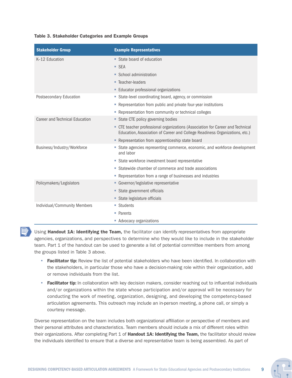#### Table 3. Stakeholder Categories and Example Groups

| <b>Stakeholder Group</b>       | <b>Example Representatives</b>                                                                                                                                |
|--------------------------------|---------------------------------------------------------------------------------------------------------------------------------------------------------------|
| K-12 Education                 | State board of education                                                                                                                                      |
|                                | ■ SEA                                                                                                                                                         |
|                                | ■ School administration                                                                                                                                       |
|                                | ■ Teacher-leaders                                                                                                                                             |
|                                | <b>Educator professional organizations</b>                                                                                                                    |
| Postsecondary Education        | State-level coordinating board, agency, or commission                                                                                                         |
|                                | • Representation from public and private four-year institutions                                                                                               |
|                                | • Representation from community or technical colleges                                                                                                         |
| Career and Technical Education | State CTE policy governing bodies                                                                                                                             |
|                                | • CTE teacher professional organizations (Association for Career and Technical<br>Education, Association of Career and College Readiness Organizations, etc.) |
|                                | - Representation from apprenticeship state board                                                                                                              |
| Business/Industry/Workforce    | State agencies representing commerce, economic, and workforce development<br>and labor                                                                        |
|                                | State workforce investment board representative                                                                                                               |
|                                | ■ Statewide chamber of commerce and trade associations                                                                                                        |
|                                | • Representation from a range of businesses and industries                                                                                                    |
| Policymakers/Legislators       | • Governor/legislative representative                                                                                                                         |
|                                | • State government officials                                                                                                                                  |
|                                | State legislature officials                                                                                                                                   |
| Individual/Community Members   | ■ Students                                                                                                                                                    |
|                                | • Parents                                                                                                                                                     |
|                                | • Advocacy organizations                                                                                                                                      |

Using Handout 1A: Identifying the Team, the facilitator can identify representatives from appropriate agencies, organizations, and perspectives to determine who they would like to include in the stakeholder team. Part 1 of the handout can be used to generate a list of potential committee members from among the groups listed in Table 3 above.

- Facilitator tip: Review the list of potential stakeholders who have been identified. In collaboration with the stakeholders, in particular those who have a decision-making role within their organization, add or remove individuals from the list.
- Facilitator tip: In collaboration with key decision makers, consider reaching out to influential individuals and/or organizations within the state whose participation and/or approval will be necessary for conducting the work of meeting, organization, designing, and developing the competency-based articulation agreements. This outreach may include an in-person meeting, a phone call, or simply a courtesy message.

Diverse representation on the team includes both organizational affiliation or perspective of members and their personal attributes and characteristics. Team members should include a mix of different roles within their organizations. After completing Part 1 of Handout 1A: Identifying the Team, the facilitator should review the individuals identified to ensure that a diverse and representative team is being assembled. As part of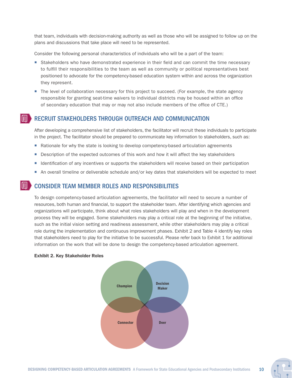that team, individuals with decision-making authority as well as those who will be assigned to follow up on the plans and discussions that take place will need to be represented.

Consider the following personal characteristics of individuals who will be a part of the team:

- **Stakeholders who have demonstrated experience in their field and can commit the time necessary** to fulfill their responsibilities to the team as well as community or political representatives best positioned to advocate for the competency-based education system within and across the organization they represent.
- The level of collaboration necessary for this project to succeed. (For example, the state agency responsible for granting seat-time waivers to individual districts may be housed within an office of secondary education that may or may not also include members of the office of CTE.)

 $\mathbb{F}$ 

#### RECRUIT STAKEHOLDERS THROUGH OUTREACH AND COMMUNICATION

After developing a comprehensive list of stakeholders, the facilitator will recruit these individuals to participate in the project. The facilitator should be prepared to communicate key information to stakeholders, such as:

- **Rationale for why the state is looking to develop competency-based articulation agreements**
- **Description of the expected outcomes of this work and how it will affect the key stakeholders**
- I dentification of any incentives or supports the stakeholders will receive based on their participation
- An overall timeline or deliverable schedule and/or key dates that stakeholders will be expected to meet

#### CONSIDER TEAM MEMBER ROLES AND RESPONSIBILITIES

To design competency-based articulation agreements, the facilitator will need to secure a number of resources, both human and financial, to support the stakeholder team. After identifying which agencies and organizations will participate, think about what roles stakeholders will play and when in the development process they will be engaged. Some stakeholders may play a critical role at the beginning of the initiative, such as the initial vision setting and readiness assessment, while other stakeholders may play a critical role during the implementation and continuous improvement phases. Exhibit 2 and Table 4 identify key roles that stakeholders need to play for the initiative to be successful. Please refer back to Exhibit 1 for additional information on the work that will be done to design the competency-based articulation agreement.

#### Exhibit 2. Key Stakeholder Roles

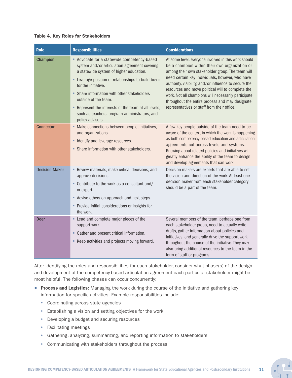#### Table 4. Key Roles for Stakeholders

| <b>Role</b>           | <b>Responsibilities</b>                                                                                                                                                                                                                                                                                                                                                                                                  | <b>Considerations</b>                                                                                                                                                                                                                                                                                                                                                                                                                                                                 |
|-----------------------|--------------------------------------------------------------------------------------------------------------------------------------------------------------------------------------------------------------------------------------------------------------------------------------------------------------------------------------------------------------------------------------------------------------------------|---------------------------------------------------------------------------------------------------------------------------------------------------------------------------------------------------------------------------------------------------------------------------------------------------------------------------------------------------------------------------------------------------------------------------------------------------------------------------------------|
| <b>Champion</b>       | Advocate for a statewide competency-based<br>system and/or articulation agreement covering<br>a statewide system of higher education.<br>- Leverage position or relationships to build buy-in<br>for the initiative.<br>• Share information with other stakeholders<br>outside of the team.<br>- Represent the interests of the team at all levels,<br>such as teachers, program administrators, and<br>policy advisors. | At some level, everyone involved in this work should<br>be a champion within their own organization or<br>among their own stakeholder group. The team will<br>need certain key individuals, however, who have<br>authority, visibility, and/or influence to secure the<br>resources and move political will to complete the<br>work. Not all champions will necessarily participate<br>throughout the entire process and may designate<br>representatives or staff from their office. |
| <b>Connector</b>      | • Make connections between people, initiatives,<br>and organizations.<br>• Identify and leverage resources.<br>• Share information with other stakeholders.                                                                                                                                                                                                                                                              | A few key people outside of the team need to be<br>aware of the context in which the work is happening<br>as both competency-based education and articulation<br>agreements cut across levels and systems.<br>Knowing about related policies and initiatives will<br>greatly enhance the ability of the team to design<br>and develop agreements that can work.                                                                                                                       |
| <b>Decision Maker</b> | Review materials, make critical decisions, and<br>approve decisions.<br>• Contribute to the work as a consultant and/<br>or expert.<br>Advise others on approach and next steps.<br>• Provide initial considerations or insights for<br>the work.                                                                                                                                                                        | Decision makers are experts that are able to set<br>the vision and direction of the work. At least one<br>decision maker from each stakeholder category<br>should be a part of the team.                                                                                                                                                                                                                                                                                              |
| <b>Doer</b>           | • Lead and complete major pieces of the<br>support work.<br>• Gather and present critical information.<br>■ Keep activities and projects moving forward.                                                                                                                                                                                                                                                                 | Several members of the team, perhaps one from<br>each stakeholder group, need to actually write<br>drafts, gather information about policies and<br>initiatives, and generally drive the support work<br>throughout the course of the initiative. They may<br>also bring additional resources to the team in the<br>form of staff or programs.                                                                                                                                        |

After identifying the roles and responsibilities for each stakeholder, consider what phase(s) of the design and development of the competency-based articulation agreement each particular stakeholder might be most helpful. The following phases can occur concurrently:

- **Process and Logistics:** Managing the work during the course of the initiative and gathering key information for specific activities. Example responsibilities include:
	- Coordinating across state agencies
	- Establishing a vision and setting objectives for the work
	- Developing a budget and securing resources
	- Facilitating meetings
	- Gathering, analyzing, summarizing, and reporting information to stakeholders
	- Communicating with stakeholders throughout the process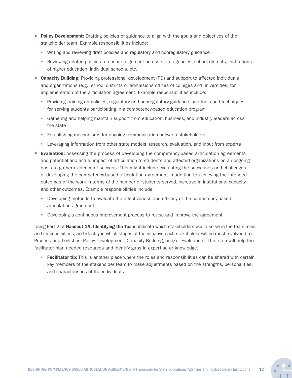- **Policy Development:** Drafting policies or guidance to align with the goals and objectives of the stakeholder team. Example responsibilities include:
	- Writing and reviewing draft policies and regulatory and nonregulatory guidance
	- Reviewing related policies to ensure alignment across state agencies, school districts, institutions of higher education, individual schools, etc.
- **Capacity Building:** Providing professional development (PD) and support to affected individuals and organizations (e.g., school districts or admissions offices of colleges and universities) for implementation of the articulation agreement. Example responsibilities include:
	- Providing training on policies, regulatory and nonregulatory guidance, and tools and techniques for serving students participating in a competency-based education program
	- Gathering and helping maintain support from education, business, and industry leaders across the state
	- Establishing mechanisms for ongoing communication between stakeholders
	- Leveraging information from other state models, research, evaluation, and input from experts
- **Evaluation:** Assessing the process of developing the competency-based articulation agreements and potential and actual impact of articulation to students and affected organizations on an ongoing basis to gather evidence of success. This might include evaluating the successes and challenges of developing the competency-based articulation agreement in addition to achieving the intended outcomes of the work in terms of the number of students served, increase in institutional capacity, and other outcomes. Example responsibilities include:
	- Developing methods to evaluate the effectiveness and efficacy of the competency-based articulation agreement
	- Developing a continuous improvement process to revise and improve the agreement

Using Part 2 of **Handout 1A: Identifying the Team,** indicate which stakeholders would serve in the team roles and responsibilities, and identify in which stages of the initiative each stakeholder will be most involved (i.e., Process and Logistics, Policy Development, Capacity Building, and/or Evaluation). This step will help the facilitator plan needed resources and identify gaps in expertise or knowledge.

• Facilitator tip: This is another place where the roles and responsibilities can be shared with certain key members of the stakeholder team to make adjustments based on the strengths, personalities, and characteristics of the individuals.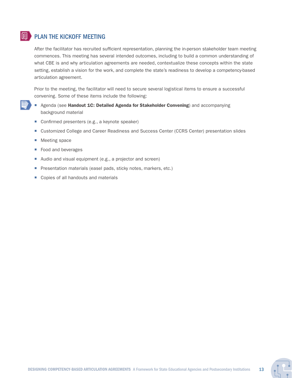#### $\mathbb{E}$ PLAN THE KICKOFF MEETING

After the facilitator has recruited sufficient representation, planning the in-person stakeholder team meeting commences. This meeting has several intended outcomes, including to build a common understanding of what CBE is and why articulation agreements are needed, contextualize these concepts within the state setting, establish a vision for the work, and complete the state's readiness to develop a competency-based articulation agreement.

Prior to the meeting, the facilitator will need to secure several logistical items to ensure a successful convening. Some of these items include the following:

- Agenda (see Handout 1C: Detailed Agenda for Stakeholder Convening) and accompanying background material
	- Confirmed presenters (e.g., a keynote speaker)
	- **Exercise 2** Customized College and Career Readiness and Success Center (CCRS Center) presentation slides
	- **Meeting space**
	- **Food and beverages**
	- Audio and visual equipment (e.g., a projector and screen)
	- **Presentation materials (easel pads, sticky notes, markers, etc.)**
	- Copies of all handouts and materials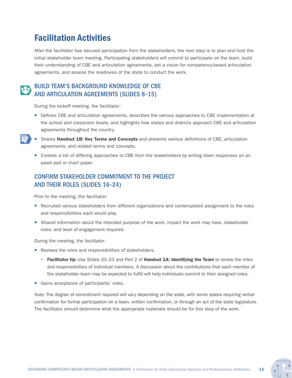### Facilitation Activities

After the facilitator has secured participation from the stakeholders, the next step is to plan and host the initial stakeholder team meeting. Participating stakeholders will commit to participate on the team, build their understanding of CBE and articulation agreements, set a vision for competency-based articulation agreements, and assess the readiness of the state to conduct the work.

### BUILD TEAM'S BACKGROUND KNOWLEDGE OF CBE AND ARTICULATION AGREEMENTS (SLIDES 8–15)

During the kickoff meeting, the facilitator:

- **Defines CBE and articulation agreements, describes the various approaches to CBE implementation at** the school and classroom levels, and highlights how states and districts approach CBE and articulation agreements throughout the country.
- Shares Handout 1B: Key Terms and Concepts and presents various definitions of CBE, articulation agreements, and related terms and concepts.
	- **Creates a list of differing approaches to CBE from the stakeholders by writing down responses on an** easel pad or chart paper.

### CONFIRM STAKEHOLDER COMMITMENT TO THE PROJECT AND THEIR ROLES (SLIDES 16–24)

Prior to the meeting, the facilitator:

- **Recruited various stakeholders from different organizations and contemplated assignment to the roles** and responsibilities each would play.
- **Shared information about the intended purpose of the work, impact the work may have, stakeholder** roles, and level of engagement required.

During the meeting, the facilitator:

- Reviews the roles and responsibilities of stakeholders.
	- Facilitator tip: Use Slides 20–23 and Part 2 of Handout 1A: Identifying the Team to review the roles and responsibilities of individual members. A discussion about the contributions that each member of the stakeholder team may be expected to fulfill will help individuals commit to their assigned roles.
- Gains acceptance of participants' roles.

*Note:* The degree of commitment required will vary depending on the state, with some states requiring verbal confirmation for formal participation on a team, written confirmation, or through an act of the state legislature. The facilitator should determine what the appropriate materials should be for this step of the work.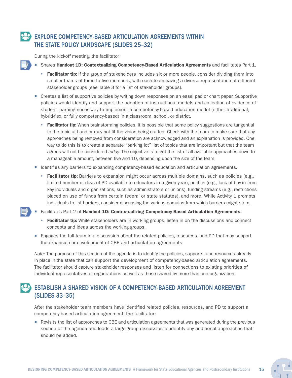### EXPLORE COMPETENCY-BASED ARTICULATION AGREEMENTS WITHIN THE STATE POLICY LANDSCAPE (SLIDES 25–32)

During the kickoff meeting, the facilitator:

- Shares Handout 1D: Contextualizing Competency-Based Articulation Agreements and facilitates Part 1.
	- Facilitator tip: If the group of stakeholders includes six or more people, consider dividing them into smaller teams of three to five members, with each team having a diverse representation of different stakeholder groups (see Table 3 for a list of stakeholder groups).
- **Creates a list of supportive policies by writing down responses on an easel pad or chart paper. Supportive** policies would identify and support the adoption of instructional models and collection of evidence of student learning necessary to implement a competency-based education model (either traditional, hybrid-flex, or fully competency-based) in a classroom, school, or district.
	- Facilitator tip: When brainstorming policies, it is possible that some policy suggestions are tangential to the topic at hand or may not fit the vision being crafted. Check with the team to make sure that any approaches being removed from consideration are acknowledged and an explanation is provided. One way to do this is to create a separate "parking lot" list of topics that are important but that the team agrees will not be considered *today.* The objective is to get the list of all available approaches down to a manageable amount, between five and 10, depending upon the size of the team.
- Identifies any barriers to expanding competency-based education and articulation agreements.
	- **Facilitator tip:** Barriers to expansion might occur across multiple domains, such as policies (e.g., limited number of days of PD available to educators in a given year), politics (e.g., lack of buy-in from key individuals and organizations, such as administrators or unions), funding streams (e.g., restrictions placed on use of funds from certain federal or state statutes), and more. While Activity 1 prompts individuals to list barriers, consider discussing the various domains from which barriers might stem.

Facilitates Part 2 of Handout 1D: Contextualizing Competency-Based Articulation Agreements.

- Facilitator tip: While stakeholders are in working groups, listen in on the discussions and connect concepts and ideas across the working groups.
- **Engages the full team in a discussion about the related policies, resources, and PD that may support** the expansion or development of CBE and articulation agreements.

*Note:* The purpose of this section of the agenda is to identify the policies, supports, and resources already in place in the state that can support the development of competency-based articulation agreements. The facilitator should capture stakeholder responses and listen for connections to existing priorities of individual representatives or organizations as well as those shared by more than one organization.

### ESTABLISH A SHARED VISION OF A COMPETENCY-BASED ARTICULATION AGREEMENT (SLIDES 33–35)

After the stakeholder team members have identified related policies, resources, and PD to support a competency-based articulation agreement, the facilitator:

Revisits the list of approaches to CBE and articulation agreements that was generated during the previous section of the agenda and leads a large-group discussion to identify any additional approaches that should be added.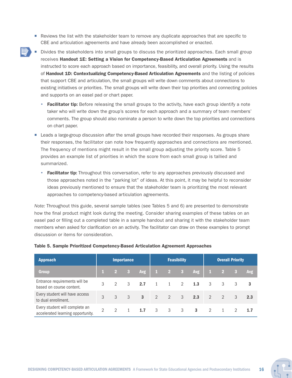- **Reviews the list with the stakeholder team to remove any duplicate approaches that are specific to** CBE and articulation agreements and have already been accomplished or enacted.
- Divides the stakeholders into small groups to discuss the prioritized approaches. Each small group receives Handout 1E: Setting a Vision for Competency-Based Articulation Agreements and is instructed to score each approach based on importance, feasibility, and overall priority. Using the results of Handout 1D: Contextualizing Competency-Based Articulation Agreements and the listing of policies that support CBE and articulation, the small groups will write down comments about connections to existing initiatives or priorities. The small groups will write down their top priorities and connecting policies and supports on an easel pad or chart paper.
	- Facilitator tip: Before releasing the small groups to the activity, have each group identify a note taker who will write down the group's scores for each approach and a summary of team members' comments. The group should also nominate a person to write down the top priorities and connections on chart paper.
	- **EXECT** Leads a large-group discussion after the small groups have recorded their responses. As groups share their responses, the facilitator can note how frequently approaches and connections are mentioned. The frequency of mentions might result in the small group adjusting the priority score. Table 5 provides an example list of priorities in which the score from each small group is tallied and summarized.
		- Facilitator tip: Throughout this conversation, refer to any approaches previously discussed and those approaches noted in the "parking lot" of ideas. At this point, it may be helpful to reconsider ideas previously mentioned to ensure that the stakeholder team is prioritizing the most relevant approaches to competency-based articulation agreements.

*Note:* Throughout this guide, several sample tables (see Tables 5 and 6) are presented to demonstrate how the final product might look during the meeting. Consider sharing examples of these tables on an easel pad or filling out a completed table in a sample handout and sharing it with the stakeholder team members when asked for clarification on an activity. The facilitator can draw on these examples to prompt discussion or items for consideration.

| <b>Approach</b>                                                     |               |          | <b>Importance</b> |            |                  |                         | <b>Feasibility</b> |              |                | <b>Overall Priority</b> |               |            |
|---------------------------------------------------------------------|---------------|----------|-------------------|------------|------------------|-------------------------|--------------------|--------------|----------------|-------------------------|---------------|------------|
| <b>Group</b>                                                        |               | $\sim$ 2 | $\sim$ 3          | <b>Avg</b> | $\blacksquare$ 1 | $2 \t3$                 |                    | <b>Avg</b>   | W              | $\overline{2}$          | $\mathbf{3}$  | <b>Avg</b> |
| Entrance requirements will be<br>based on course content.           | 3             |          | 3                 | 2.7        | $\mathbf{1}$     | $\mathbf{1}$            | $\mathcal{L}$      | 1.3          | 3              | 3                       | 3             | 3          |
| Every student will have access<br>to dual enrollment.               | $\mathcal{R}$ | 3        | 3                 | 3          | $\mathcal{P}$    | $-2$                    | 3                  | 2.3          | $\overline{2}$ | $\mathcal{L}$           | $\mathcal{S}$ | 2.3        |
| Every student will complete an<br>accelerated learning opportunity. | $\mathcal{P}$ | 2        |                   | 1.7        | $\mathcal{S}$    | $\overline{\mathbf{3}}$ | 3                  | $\mathbf{3}$ | $\mathcal{D}$  |                         |               | 1.7        |

#### Table 5. Sample Prioritized Competency-Based Articulation Agreement Approaches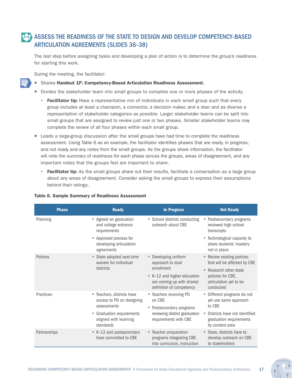### ASSESS THE READINESS OF THE STATE TO DESIGN AND DEVELOP COMPETENCY-BASED ARTICULATION AGREEMENTS (SLIDES 36–38)

The last step before assigning tasks and developing a plan of action is to determine the group's readiness for starting this work.

During the meeting, the facilitator:

- **Shares Handout 1F: Competency-Based Articulation Readiness Assessment.**
- Divides the stakeholder team into small groups to complete one or more phases of the activity.
	- Facilitator tip: Have a representative mix of individuals in each small group such that every group includes at least a champion, a connector, a decision maker, and a doer and as diverse a representation of stakeholder categories as possible. Larger stakeholder teams can be split into small groups that are assigned to review just one or two phases. Smaller stakeholder teams may complete the review of all four phases within each small group.
- **E** Leads a large-group discussion after the small groups have had time to complete the readiness assessment. Using Table 6 as an example, the facilitator identifies phases that are ready, in progress, and not ready and any notes from the small groups. As the groups share information, the facilitator will note the summary of readiness for each phase across the groups, areas of disagreement, and any important notes that the groups feel are important to share.
	- Facilitator tip: As the small groups share out their results, facilitate a conversation as a large group about any areas of disagreement. Consider asking the small groups to express their assumptions behind their ratings.

| <b>Phase</b> | <b>Ready</b>                                                              | <b>In Progress</b>                                                                   | <b>Not Ready</b>                                                            |
|--------------|---------------------------------------------------------------------------|--------------------------------------------------------------------------------------|-----------------------------------------------------------------------------|
| Planning     | Agreed on graduation<br>and college entrance<br>requirements              | • School districts conducting<br>outreach about CBE                                  | • Postsecondary programs<br>reviewed high school<br>transcripts             |
|              | • Approved process for<br>developing articulation<br>agreements           |                                                                                      | ■ Technological capacity to<br>share students' mastery<br>not in place      |
| Policies     | State adopted seat-time<br>٠<br>waivers for individual                    | Developing uniform<br>approach to dual                                               | • Review existing policies<br>that will be affected by CBE                  |
|              | districts                                                                 | enrollment                                                                           | ■ Research other state                                                      |
|              |                                                                           | ■ K-12 and higher education<br>are coming up with shared<br>definition of competency | policies for CBE,<br>articulation yet to be<br>conducted                    |
| Practices    | " Teachers, districts have<br>access to PD on designing                   | • Teachers receiving PD<br>on CBE                                                    | • Different programs do not<br>yet use same approach                        |
|              | assessments                                                               | • Postsecondary programs                                                             | to CBE                                                                      |
|              | <b>Graduation requirements</b><br>ш<br>aligned with learning<br>standards | reviewing district graduation<br>requirements with CBE                               | Districts have not identified<br>graduation requirements<br>by content area |
| Partnerships | ■ K-12 and postsecondary<br>have committed to CBE                         | • Teacher preparation<br>programs integrating CBE<br>into curriculum, instruction    | State, districts have to<br>develop outreach on CBE<br>to stakeholders      |

#### Table 6. Sample Summary of Readiness Assessment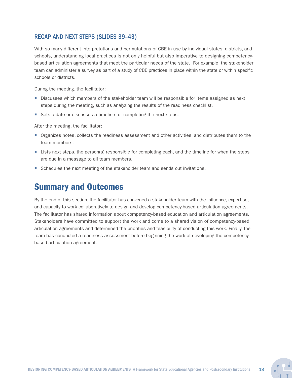#### RECAP AND NEXT STEPS (SLIDES 39–43)

With so many different interpretations and permutations of CBE in use by individual states, districts, and schools, understanding local practices is not only helpful but also imperative to designing competencybased articulation agreements that meet the particular needs of the state. For example, the stakeholder team can administer a survey as part of a study of CBE practices in place within the state or within specific schools or districts.

During the meeting, the facilitator:

- Discusses which members of the stakeholder team will be responsible for items assigned as next steps during the meeting, such as analyzing the results of the readiness checklist.
- Sets a date or discusses a timeline for completing the next steps.

After the meeting, the facilitator:

- Organizes notes, collects the readiness assessment and other activities, and distributes them to the team members.
- **EXTENDER** Lists next steps, the person(s) responsible for completing each, and the timeline for when the steps are due in a message to all team members.
- **Schedules the next meeting of the stakeholder team and sends out invitations.**

### Summary and Outcomes

By the end of this section, the facilitator has convened a stakeholder team with the influence, expertise, and capacity to work collaboratively to design and develop competency-based articulation agreements. The facilitator has shared information about competency-based education and articulation agreements. Stakeholders have committed to support the work and come to a shared vision of competency-based articulation agreements and determined the priorities and feasibility of conducting this work. Finally, the team has conducted a readiness assessment before beginning the work of developing the competencybased articulation agreement.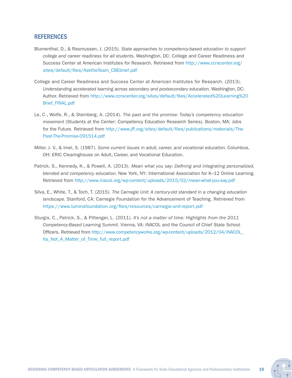#### **REFERENCES**

- Blumenthal, D., & Rasmussen, J. (2015). *State approaches to competency-based education to support college and career readiness for all students.* Washington, DC: College and Career Readiness and Success Center at American Institutes for Research. Retrieved from [http://www.ccrscenter.org/](http://www.ccrscenter.org/sites/default/files/AsktheTeam_CBEbrief.pdf) [sites/default/files/AsktheTeam\\_CBEbrief.pdf](http://www.ccrscenter.org/sites/default/files/AsktheTeam_CBEbrief.pdf)
- College and Career Readiness and Success Center at American Institutes for Research. (2013). *Understanding accelerated learning across secondary and postsecondary education.* Washington, DC: Author. Retrieved from [http://www.ccrscenter.org/sites/default/files/Accelerated%20Learning%20](http://www.ccrscenter.org/sites/default/files/Accelerated%20Learning%20Brief_FINAL.pdf) [Brief\\_FINAL.pdf](http://www.ccrscenter.org/sites/default/files/Accelerated%20Learning%20Brief_FINAL.pdf)
- Le, C., Wolfe, R., & Steinberg, A. (2014). *The past and the promise: Today's competency education movement* (Students at the Center: Competency Education Research Series). Boston, MA: Jobs for the Future. Retrieved from [http://www.jff.org/sites/default/files/publications/materials/The-](http://www.jff.org/sites/default/files/publications/materials/The-Past-The-Promise-091514.pdf)[Past-The-Promise-091514.pdf](http://www.jff.org/sites/default/files/publications/materials/The-Past-The-Promise-091514.pdf)
- Miller, J. V., & Imel, S. (1987). *Some current issues in adult, career, and vocational education.* Columbus, OH: ERIC Clearinghouse on Adult, Career, and Vocational Education.
- Patrick, S., Kennedy, K., & Powell, A. (2013). *Mean what you say: Defining and integrating personalized, blended and competency education.* New York, NY: International Association for K–12 Online Learning. Retrieved from <http://www.inacol.org/wp-content/uploads/2015/02/mean-what-you-say.pdf>
- Silva, E., White, T., & Toch, T. (2015). *The Carnegie Unit: A century-old standard in a changing education landscape.* Stanford, CA: Carnegie Foundation for the Advancement of Teaching. Retrieved from <https://www.luminafoundation.org/files/resources/carnegie-unit-report.pdf>
- Sturgis, C., Patrick, S., & Pittenger, L. (2011). *It's not a matter of time: Highlights from the 2011 Competency-Based Learning Summit.* Vienna, VA: iNACOL and the Council of Chief State School Officers. Retrieved from [http://www.competencyworks.org/wp-content/uploads/2012/04/iNACOL\\_](http://www.competencyworks.org/wp-content/uploads/2012/04/iNACOL_Its_Not_A_Matter_of_Time_full_report.pdf) [Its\\_Not\\_A\\_Matter\\_of\\_Time\\_full\\_report.pdf](http://www.competencyworks.org/wp-content/uploads/2012/04/iNACOL_Its_Not_A_Matter_of_Time_full_report.pdf)